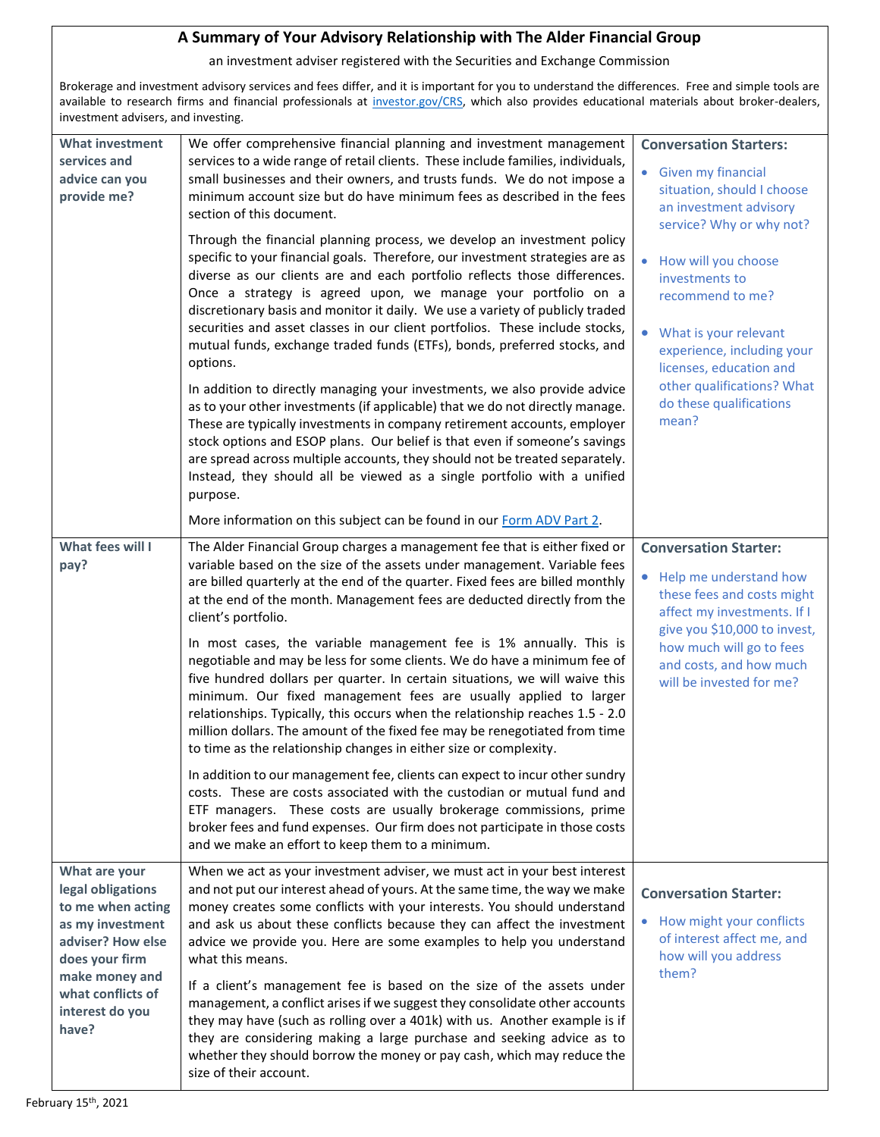## **A Summary of Your Advisory Relationship with The Alder Financial Group**

an investment adviser registered with the Securities and Exchange Commission

Brokerage and investment advisory services and fees differ, and it is important for you to understand the differences. Free and simple tools are available to research firms and financial professionals at [investor.gov/CRS,](https://www.investor.gov/CRS) which also provides educational materials about broker-dealers, investment advisers, and investing.

| <b>What investment</b><br>services and<br>advice can you<br>provide me?                                                                                                               | We offer comprehensive financial planning and investment management<br>services to a wide range of retail clients. These include families, individuals,<br>small businesses and their owners, and trusts funds. We do not impose a<br>minimum account size but do have minimum fees as described in the fees<br>section of this document.<br>Through the financial planning process, we develop an investment policy<br>specific to your financial goals. Therefore, our investment strategies are as<br>diverse as our clients are and each portfolio reflects those differences.<br>Once a strategy is agreed upon, we manage your portfolio on a<br>discretionary basis and monitor it daily. We use a variety of publicly traded<br>securities and asset classes in our client portfolios. These include stocks,<br>mutual funds, exchange traded funds (ETFs), bonds, preferred stocks, and<br>options.<br>In addition to directly managing your investments, we also provide advice<br>as to your other investments (if applicable) that we do not directly manage.<br>These are typically investments in company retirement accounts, employer<br>stock options and ESOP plans. Our belief is that even if someone's savings<br>are spread across multiple accounts, they should not be treated separately.<br>Instead, they should all be viewed as a single portfolio with a unified<br>purpose.<br>More information on this subject can be found in our Form ADV Part 2. | <b>Conversation Starters:</b><br>Given my financial<br>$\bullet$<br>situation, should I choose<br>an investment advisory<br>service? Why or why not?<br>How will you choose<br>investments to<br>recommend to me?<br>What is your relevant<br>experience, including your<br>licenses, education and<br>other qualifications? What<br>do these qualifications<br>mean? |
|---------------------------------------------------------------------------------------------------------------------------------------------------------------------------------------|------------------------------------------------------------------------------------------------------------------------------------------------------------------------------------------------------------------------------------------------------------------------------------------------------------------------------------------------------------------------------------------------------------------------------------------------------------------------------------------------------------------------------------------------------------------------------------------------------------------------------------------------------------------------------------------------------------------------------------------------------------------------------------------------------------------------------------------------------------------------------------------------------------------------------------------------------------------------------------------------------------------------------------------------------------------------------------------------------------------------------------------------------------------------------------------------------------------------------------------------------------------------------------------------------------------------------------------------------------------------------------------------------------------------------------------------------------------------------------|-----------------------------------------------------------------------------------------------------------------------------------------------------------------------------------------------------------------------------------------------------------------------------------------------------------------------------------------------------------------------|
| What fees will I<br>pay?                                                                                                                                                              | The Alder Financial Group charges a management fee that is either fixed or<br>variable based on the size of the assets under management. Variable fees<br>are billed quarterly at the end of the quarter. Fixed fees are billed monthly<br>at the end of the month. Management fees are deducted directly from the<br>client's portfolio.<br>In most cases, the variable management fee is 1% annually. This is<br>negotiable and may be less for some clients. We do have a minimum fee of<br>five hundred dollars per quarter. In certain situations, we will waive this<br>minimum. Our fixed management fees are usually applied to larger<br>relationships. Typically, this occurs when the relationship reaches 1.5 - 2.0<br>million dollars. The amount of the fixed fee may be renegotiated from time<br>to time as the relationship changes in either size or complexity.<br>In addition to our management fee, clients can expect to incur other sundry<br>costs. These are costs associated with the custodian or mutual fund and<br>ETF managers. These costs are usually brokerage commissions, prime<br>broker fees and fund expenses. Our firm does not participate in those costs<br>and we make an effort to keep them to a minimum.                                                                                                                                                                                                                              | <b>Conversation Starter:</b><br>• Help me understand how<br>these fees and costs might<br>affect my investments. If I<br>give you \$10,000 to invest,<br>how much will go to fees<br>and costs, and how much<br>will be invested for me?                                                                                                                              |
| What are your<br>legal obligations<br>to me when acting<br>as my investment<br>adviser? How else<br>does your firm<br>make money and<br>what conflicts of<br>interest do you<br>have? | When we act as your investment adviser, we must act in your best interest<br>and not put our interest ahead of yours. At the same time, the way we make<br>money creates some conflicts with your interests. You should understand<br>and ask us about these conflicts because they can affect the investment<br>advice we provide you. Here are some examples to help you understand<br>what this means.<br>If a client's management fee is based on the size of the assets under<br>management, a conflict arises if we suggest they consolidate other accounts<br>they may have (such as rolling over a 401k) with us. Another example is if<br>they are considering making a large purchase and seeking advice as to<br>whether they should borrow the money or pay cash, which may reduce the<br>size of their account.                                                                                                                                                                                                                                                                                                                                                                                                                                                                                                                                                                                                                                                       | <b>Conversation Starter:</b><br>How might your conflicts<br>of interest affect me, and<br>how will you address<br>them?                                                                                                                                                                                                                                               |